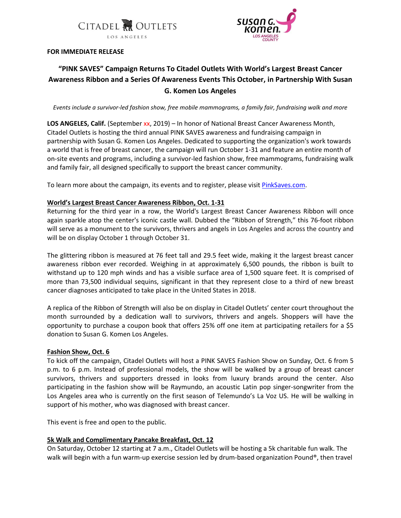



# **FOR IMMEDIATE RELEASE**

# **"PINK SAVES" Campaign Returns To Citadel Outlets With World's Largest Breast Cancer Awareness Ribbon and a Series Of Awareness Events This October, in Partnership With Susan G. Komen Los Angeles**

*Events include a survivor-led fashion show, free mobile mammograms, a family fair, fundraising walk and more*

**LOS ANGELES, Calif.** (September xx, 2019) – In honor of National Breast Cancer Awareness Month, Citadel Outlets is hosting the third annual PINK SAVES awareness and fundraising campaign in partnership with Susan G. Komen Los Angeles. Dedicated to supporting the organization's work towards a world that is free of breast cancer, the campaign will run October 1-31 and feature an entire month of on-site events and programs, including a survivor-led fashion show, free mammograms, fundraising walk and family fair, all designed specifically to support the breast cancer community.

To learn more about the campaign, its events and to register, please visit **PinkSaves.com**.

# **World's Largest Breast Cancer Awareness Ribbon, Oct. 1-31**

Returning for the third year in a row, the World's Largest Breast Cancer Awareness Ribbon will once again sparkle atop the center's iconic castle wall. Dubbed the "Ribbon of Strength," this 76-foot ribbon will serve as a monument to the survivors, thrivers and angels in Los Angeles and across the country and will be on display October 1 through October 31.

The glittering ribbon is measured at 76 feet tall and 29.5 feet wide, making it the largest breast cancer awareness ribbon ever recorded. Weighing in at approximately 6,500 pounds, the ribbon is built to withstand up to 120 mph winds and has a visible surface area of 1,500 square feet. It is comprised of more than 73,500 individual sequins, significant in that they represent close to a third of new breast cancer diagnoses anticipated to take place in the United States in 2018.

A replica of the Ribbon of Strength will also be on display in Citadel Outlets' center court throughout the month surrounded by a dedication wall to survivors, thrivers and angels. Shoppers will have the opportunity to purchase a coupon book that offers 25% off one item at participating retailers for a \$5 donation to Susan G. Komen Los Angeles.

### **Fashion Show, Oct. 6**

To kick off the campaign, Citadel Outlets will host a PINK SAVES Fashion Show on Sunday, Oct. 6 from 5 p.m. to 6 p.m. Instead of professional models, the show will be walked by a group of breast cancer survivors, thrivers and supporters dressed in looks from luxury brands around the center. Also participating in the fashion show will be Raymundo, an acoustic Latin pop singer-songwriter from the Los Angeles area who is currently on the first season of Telemundo's La Voz US. He will be walking in support of his mother, who was diagnosed with breast cancer.

This event is free and open to the public.

# **5k Walk and Complimentary Pancake Breakfast, Oct. 12**

On Saturday, October 12 starting at 7 a.m., Citadel Outlets will be hosting a 5k charitable fun walk. The walk will begin with a fun warm-up exercise session led by drum-based organization Pound®, then travel